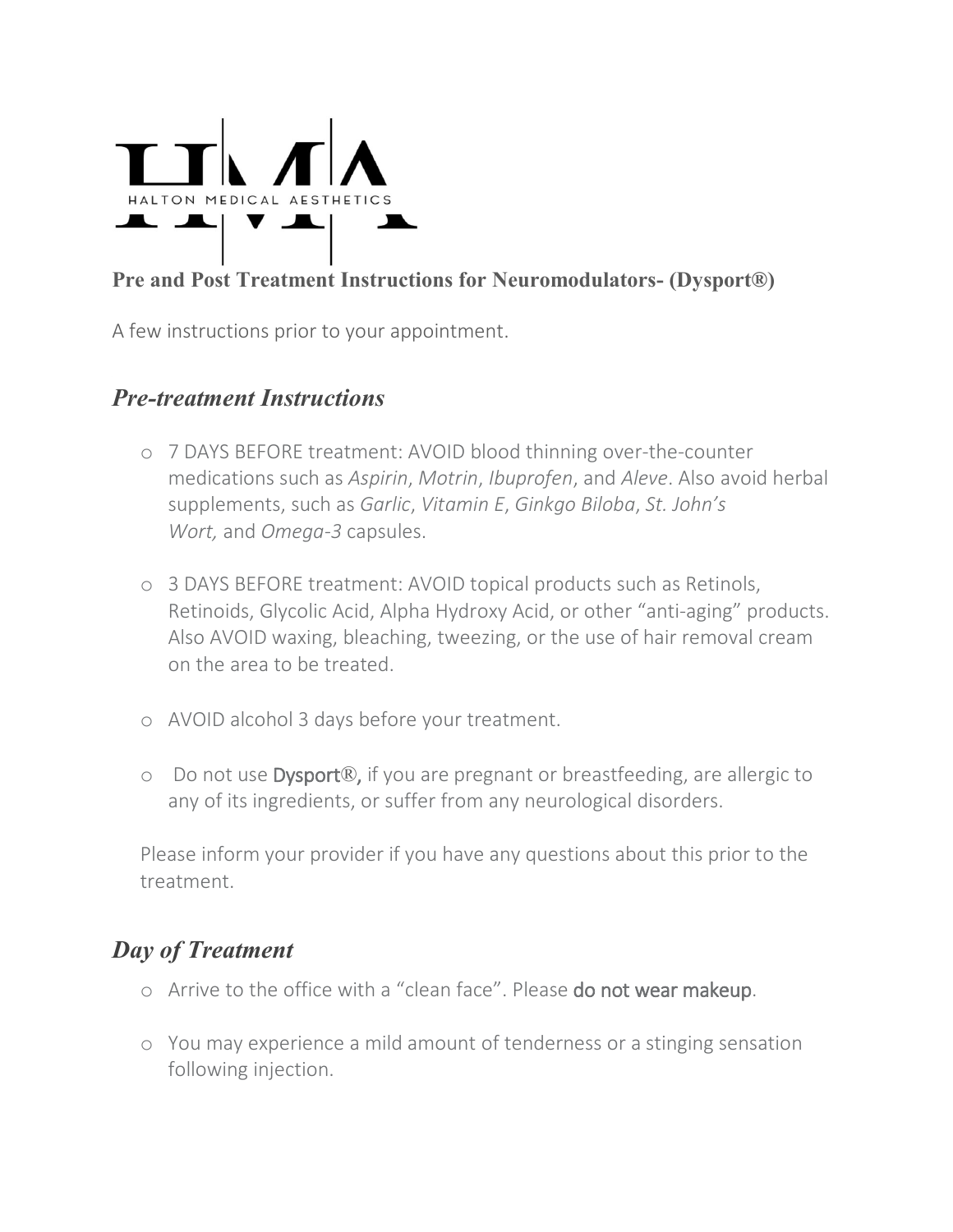

#### **Pre and Post Treatment Instructions for Neuromodulators- (Dysport®)**

A few instructions prior to your appointment.

### *Pre-treatment Instructions*

- o 7 DAYS BEFORE treatment: AVOID blood thinning over-the-counter medications such as *Aspirin*, *Motrin*, *Ibuprofen*, and *Aleve*. Also avoid herbal supplements, such as *Garlic*, *Vitamin E*, *Ginkgo Biloba*, *St. John's Wort,* and *Omega-3* capsules.
- o 3 DAYS BEFORE treatment: AVOID topical products such as Retinols, Retinoids, Glycolic Acid, Alpha Hydroxy Acid, or other "anti-aging" products. Also AVOID waxing, bleaching, tweezing, or the use of hair removal cream on the area to be treated.
- o AVOID alcohol 3 days before your treatment.
- o Do not use Dysport®, if you are pregnant or breastfeeding, are allergic to any of its ingredients, or suffer from any neurological disorders.

Please inform your provider if you have any questions about this prior to the treatment.

# *Day of Treatment*

- o Arrive to the office with a "clean face". Please do not wear makeup.
- o You may experience a mild amount of tenderness or a stinging sensation following injection.